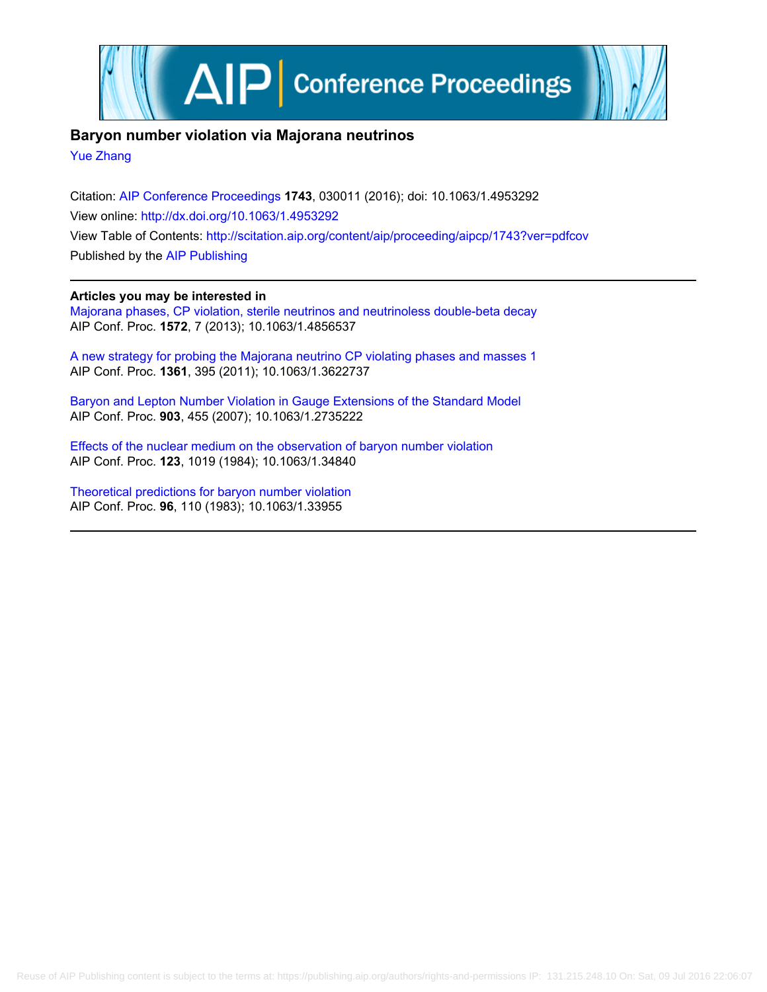

## **Baryon number violation via Majorana neutrinos**

[Yue Zhang](http://scitation.aip.org/search?value1=Yue+Zhang&option1=author)

Citation: [AIP Conference Proceedings](http://scitation.aip.org/content/aip/proceeding/aipcp?ver=pdfcov) **1743**, 030011 (2016); doi: 10.1063/1.4953292 View online: <http://dx.doi.org/10.1063/1.4953292> View Table of Contents: <http://scitation.aip.org/content/aip/proceeding/aipcp/1743?ver=pdfcov> Published by the [AIP Publishing](http://scitation.aip.org/content/aip?ver=pdfcov)

### **Articles you may be interested in**

[Majorana phases, CP violation, sterile neutrinos and neutrinoless double-beta decay](http://scitation.aip.org/content/aip/proceeding/aipcp/10.1063/1.4856537?ver=pdfcov) AIP Conf. Proc. **1572**, 7 (2013); 10.1063/1.4856537

[A new strategy for probing the Majorana neutrino CP violating phases and masses 1](http://scitation.aip.org/content/aip/proceeding/aipcp/10.1063/1.3622737?ver=pdfcov) AIP Conf. Proc. **1361**, 395 (2011); 10.1063/1.3622737

[Baryon and Lepton Number Violation in Gauge Extensions of the Standard Model](http://scitation.aip.org/content/aip/proceeding/aipcp/10.1063/1.2735222?ver=pdfcov) AIP Conf. Proc. **903**, 455 (2007); 10.1063/1.2735222

[Effects of the nuclear medium on the observation of baryon number violation](http://scitation.aip.org/content/aip/proceeding/aipcp/10.1063/1.34840?ver=pdfcov) AIP Conf. Proc. **123**, 1019 (1984); 10.1063/1.34840

[Theoretical predictions for baryon number violation](http://scitation.aip.org/content/aip/proceeding/aipcp/10.1063/1.33955?ver=pdfcov) AIP Conf. Proc. **96**, 110 (1983); 10.1063/1.33955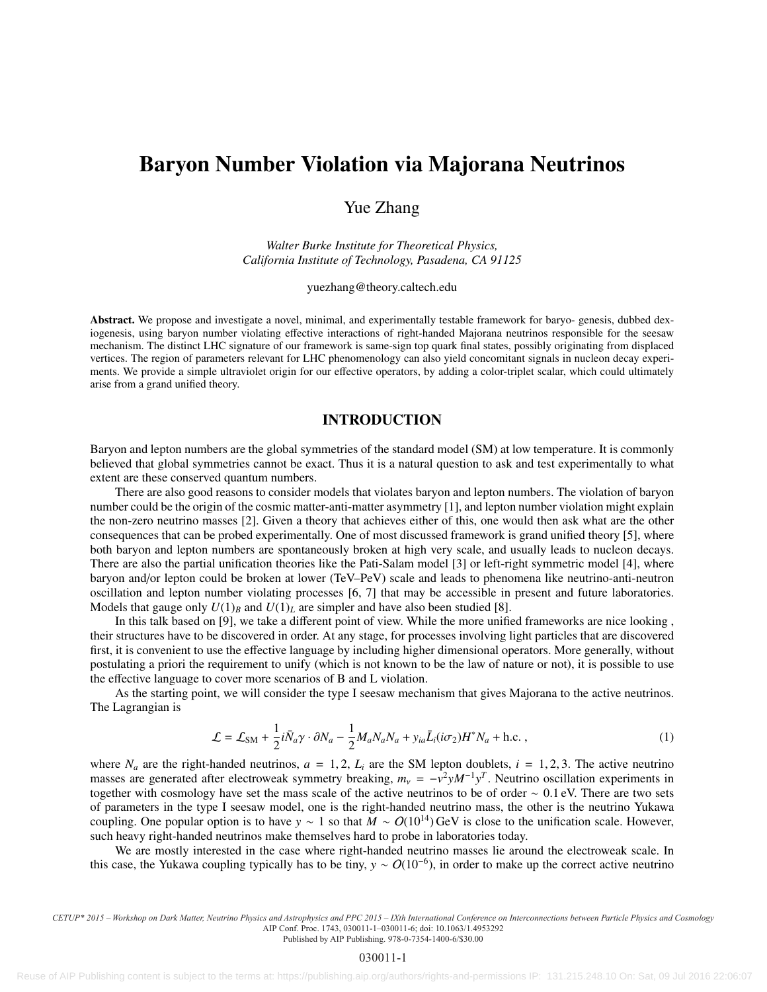# Baryon Number Violation via Majorana Neutrinos

Yue Zhang

*Walter Burke Institute for Theoretical Physics, California Institute of Technology, Pasadena, CA 91125*

yuezhang@theory.caltech.edu

Abstract. We propose and investigate a novel, minimal, and experimentally testable framework for baryo- genesis, dubbed dexiogenesis, using baryon number violating effective interactions of right-handed Majorana neutrinos responsible for the seesaw mechanism. The distinct LHC signature of our framework is same-sign top quark final states, possibly originating from displaced vertices. The region of parameters relevant for LHC phenomenology can also yield concomitant signals in nucleon decay experiments. We provide a simple ultraviolet origin for our effective operators, by adding a color-triplet scalar, which could ultimately arise from a grand unified theory.

### INTRODUCTION

Baryon and lepton numbers are the global symmetries of the standard model (SM) at low temperature. It is commonly believed that global symmetries cannot be exact. Thus it is a natural question to ask and test experimentally to what extent are these conserved quantum numbers.

There are also good reasons to consider models that violates baryon and lepton numbers. The violation of baryon number could be the origin of the cosmic matter-anti-matter asymmetry [1], and lepton number violation might explain the non-zero neutrino masses [2]. Given a theory that achieves either of this, one would then ask what are the other consequences that can be probed experimentally. One of most discussed framework is grand unified theory [5], where both baryon and lepton numbers are spontaneously broken at high very scale, and usually leads to nucleon decays. There are also the partial unification theories like the Pati-Salam model [3] or left-right symmetric model [4], where baryon and/or lepton could be broken at lower (TeV–PeV) scale and leads to phenomena like neutrino-anti-neutron oscillation and lepton number violating processes [6, 7] that may be accessible in present and future laboratories. Models that gauge only  $U(1)_B$  and  $U(1)_L$  are simpler and have also been studied [8].

In this talk based on [9], we take a different point of view. While the more unified frameworks are nice looking , their structures have to be discovered in order. At any stage, for processes involving light particles that are discovered first, it is convenient to use the effective language by including higher dimensional operators. More generally, without postulating a priori the requirement to unify (which is not known to be the law of nature or not), it is possible to use the effective language to cover more scenarios of B and L violation.

As the starting point, we will consider the type I seesaw mechanism that gives Majorana to the active neutrinos. The Lagrangian is

$$
\mathcal{L} = \mathcal{L}_{\text{SM}} + \frac{1}{2} i \bar{N}_a \gamma \cdot \partial N_a - \frac{1}{2} M_a N_a N_a + y_{ia} \bar{L}_i (i\sigma_2) H^* N_a + \text{h.c.} \,, \tag{1}
$$

where  $N_a$  are the right-handed neutrinos,  $a = 1, 2, L_i$  are the SM lepton doublets,  $i = 1, 2, 3$ . The active neutrino masses are generated after electroweak symmetry breaking,  $m_v = -v^2 y M^{-1} y^T$ . Neutrino oscillation experiments in<br>together with cosmology have set the mass scale of the active peutrinos to be of order  $\sim 0.1$  eV. There ar together with cosmology have set the mass scale of the active neutrinos to be of order <sup>∼</sup> <sup>0</sup>.1 eV. There are two sets of parameters in the type I seesaw model, one is the right-handed neutrino mass, the other is the neutrino Yukawa coupling. One popular option is to have *y* ∼ 1 so that  $M \sim O(10^{14})$  GeV is close to the unification scale. However, such heavy right-handed neutrinos make themselves hard to probe in laboratories today.

We are mostly interested in the case where right-handed neutrino masses lie around the electroweak scale. In this case, the Yukawa coupling typically has to be tiny,  $y \sim O(10^{-6})$ , in order to make up the correct active neutrino

Published by AIP Publishing. 978-0-7354-1400-6/\$30.00

*CETUP\* 2015 – Workshop on Dark Matter, Neutrino Physics and Astrophysics and PPC 2015 – IXth International Conference on Interconnections between Particle Physics and Cosmology* AIP Conf. Proc. 1743, 030011-1–030011-6; doi: 10.1063/1.4953292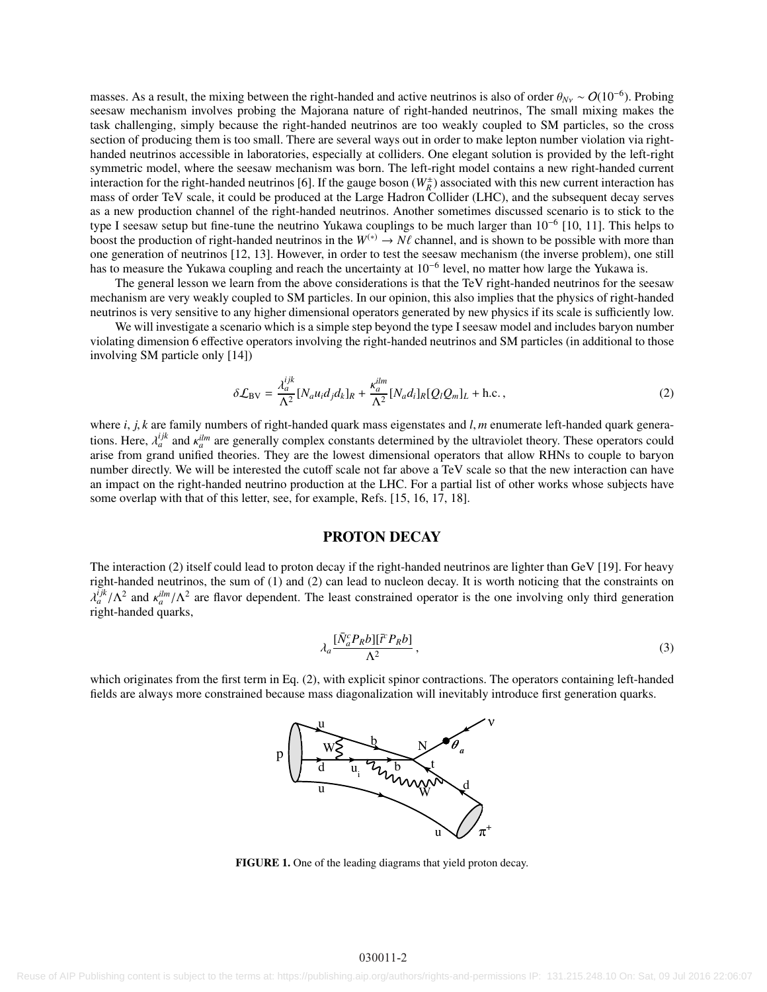masses. As a result, the mixing between the right-handed and active neutrinos is also of order  $\theta_{N_v} \sim O(10^{-6})$ . Probing seesaw mechanism involves probing the Majorana nature of right-handed neutrinos. The small mixing m seesaw mechanism involves probing the Majorana nature of right-handed neutrinos, The small mixing makes the task challenging, simply because the right-handed neutrinos are too weakly coupled to SM particles, so the cross section of producing them is too small. There are several ways out in order to make lepton number violation via righthanded neutrinos accessible in laboratories, especially at colliders. One elegant solution is provided by the left-right symmetric model, where the seesaw mechanism was born. The left-right model contains a new right-handed current interaction for the right-handed neutrinos [6]. If the gauge boson  $(W_R^{\pm})$  associated with this new current interaction has mass of order TeV scale, it could be produced at the Large Hadron Collider (LHC), and the subsequent decay serves as a new production channel of the right-handed neutrinos. Another sometimes discussed scenario is to stick to the type I seesaw setup but fine-tune the neutrino Yukawa couplings to be much larger than 10−<sup>6</sup> [10, 11]. This helps to boost the production of right-handed neutrinos in the  $W^{(*)} \to N\ell$  channel, and is shown to be possible with more than one generation of neutrinos [12, 13]. However, in order to test the seesaw mechanism (the inverse problem), one still has to measure the Yukawa coupling and reach the uncertainty at 10<sup>-6</sup> level, no matter how large the Yukawa is.

The general lesson we learn from the above considerations is that the TeV right-handed neutrinos for the seesaw mechanism are very weakly coupled to SM particles. In our opinion, this also implies that the physics of right-handed neutrinos is very sensitive to any higher dimensional operators generated by new physics if its scale is sufficiently low.

We will investigate a scenario which is a simple step beyond the type I seesaw model and includes baryon number violating dimension 6 effective operators involving the right-handed neutrinos and SM particles (in additional to those involving SM particle only [14])

$$
\delta \mathcal{L}_{BV} = \frac{\lambda_a^{ijk}}{\Lambda^2} [N_a u_i d_j d_k]_R + \frac{\kappa_a^{ilm}}{\Lambda^2} [N_a d_i]_R [Q_l Q_m]_L + \text{h.c.}\,,\tag{2}
$$

where *i*, *j*, *k* are family numbers of right-handed quark mass eigenstates and *l*, *m* enumerate left-handed quark genera*tions.* Here,  $\lambda_d^{ijk}$  and  $\kappa_d^{ilm}$  are generally complex constants determined by the ultraviolet theory. These operators could arise from grand unified theories. They are the lowest dimensional operators that allow RHNs arise from grand unified theories. They are the lowest dimensional operators that allow RHNs to couple to baryon number directly. We will be interested the cutoff scale not far above a TeV scale so that the new interaction can have an impact on the right-handed neutrino production at the LHC. For a partial list of other works whose subjects have some overlap with that of this letter, see, for example, Refs. [15, 16, 17, 18].

### PROTON DECAY

The interaction (2) itself could lead to proton decay if the right-handed neutrinos are lighter than GeV [19]. For heavy right-handed neutrinos, the sum of (1) and (2) can lead to nucleon decay. It is worth noticing that the constraints on  $right$ -handed quarks,  $\frac{d^{i,k}}{dt}$  /Λ<sup>2</sup> and  $\frac{d^{i,m}}{dt}$  /Λ<sup>2</sup> are flavor dependent. The least constrained operator is the one involving only third generation ont-handed quarks

$$
\lambda_a \frac{\left[\bar{N}_a^c P_R b\right] \left[\bar{t}^c P_R b\right]}{\Lambda^2},\tag{3}
$$

which originates from the first term in Eq. (2), with explicit spinor contractions. The operators containing left-handed fields are always more constrained because mass diagonalization will inevitably introduce first generation quarks.



FIGURE 1. One of the leading diagrams that yield proton decay.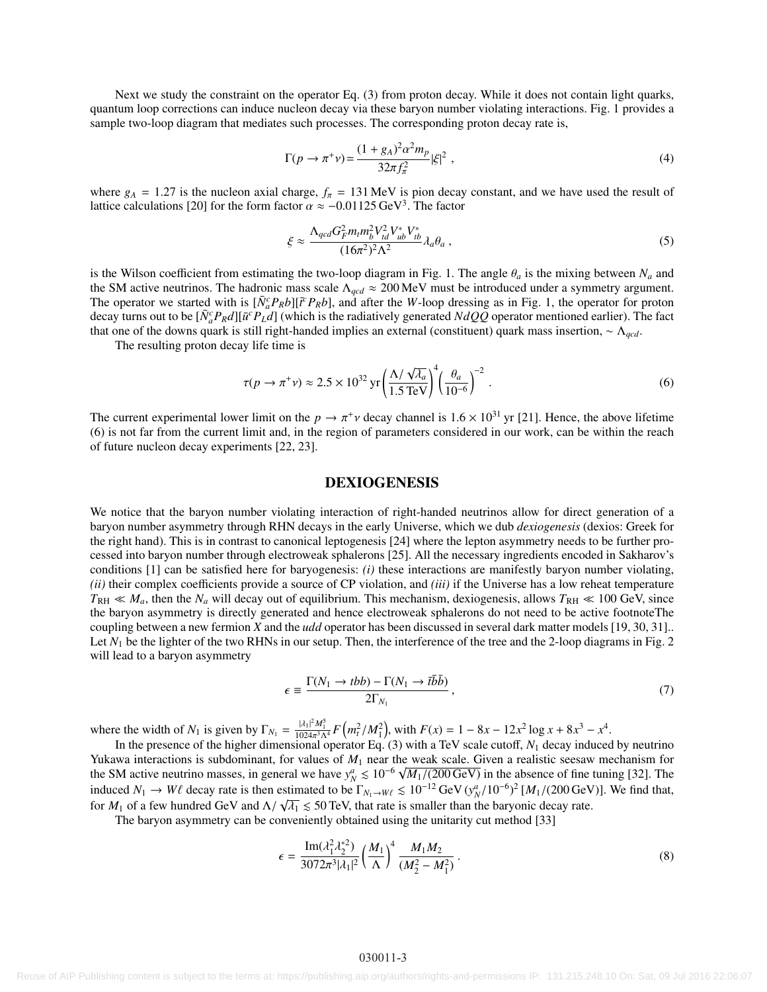Next we study the constraint on the operator Eq. (3) from proton decay. While it does not contain light quarks, quantum loop corrections can induce nucleon decay via these baryon number violating interactions. Fig. 1 provides a sample two-loop diagram that mediates such processes. The corresponding proton decay rate is,

$$
\Gamma(p \to \pi^+ \nu) = \frac{(1 + g_A)^2 \alpha^2 m_p}{32\pi f_\pi^2} |\xi|^2 \,,\tag{4}
$$

where  $g_A = 1.27$  is the nucleon axial charge,  $f_\pi = 131 \text{ MeV}$  is pion decay constant, and we have used the result of lattice calculations [20] for the form factor  $\alpha \approx -0.01125 \,\text{GeV}^3$ . The factor

$$
\xi \approx \frac{\Lambda_{qcd} G_F^2 m_t m_b^2 V_{td}^2 V_{ub}^* V_{tb}^*}{(16\pi^2)^2 \Lambda^2} \lambda_a \theta_a \,, \tag{5}
$$

is the Wilson coefficient from estimating the two-loop diagram in Fig. 1. The angle  $\theta_a$  is the mixing between  $N_a$  and the SM active neutrinos. The hadronic mass scale Λ*qcd* ≈ 200 MeV must be introduced under a symmetry argument. The operator we started with is  $[\bar{N}_a^c P_R b][\bar{t}^c P_R b]$ , and after the *W*-loop dressing as in Fig. 1, the operator for proton decay turns out to be  $[\bar{N}_a^c P_R d][\bar{u}^c P_L d]$  (which is the radiatively generated  $NdQ\bar{Q}$  operator mentioned earlier). The fact that one of the downs quark is still right-handed implies an external (constituent) quark mass insertion, ∼ Λ*qcd*.

The resulting proton decay life time is

$$
\tau(p \to \pi^+ \nu) \approx 2.5 \times 10^{32} \text{ yr} \left(\frac{\Lambda/\sqrt{\lambda_a}}{1.5 \text{ TeV}}\right)^4 \left(\frac{\theta_a}{10^{-6}}\right)^{-2} \,. \tag{6}
$$

The current experimental lower limit on the  $p \to \pi^+ \nu$  decay channel is  $1.6 \times 10^{31}$  yr [21]. Hence, the above lifetime (6) is not far from the current limit and in the region of parameters considered in our work, can (6) is not far from the current limit and, in the region of parameters considered in our work, can be within the reach of future nucleon decay experiments [22, 23].

### DEXIOGENESIS

We notice that the baryon number violating interaction of right-handed neutrinos allow for direct generation of a baryon number asymmetry through RHN decays in the early Universe, which we dub *dexiogenesis* (dexios: Greek for the right hand). This is in contrast to canonical leptogenesis [24] where the lepton asymmetry needs to be further processed into baryon number through electroweak sphalerons [25]. All the necessary ingredients encoded in Sakharov's conditions [1] can be satisfied here for baryogenesis: *(i)* these interactions are manifestly baryon number violating, *(ii)* their complex coefficients provide a source of CP violation, and *(iii)* if the Universe has a low reheat temperature  $T_{\text{RH}} \ll M_a$ , then the  $N_a$  will decay out of equilibrium. This mechanism, dexiogenesis, allows  $T_{\text{RH}} \ll 100$  GeV, since the baryon asymmetry is directly generated and hence electroweak sphalerons do not need to be active footnoteThe coupling between a new fermion *X* and the *udd* operator has been discussed in several dark matter models [19, 30, 31].. Let  $N_1$  be the lighter of the two RHNs in our setup. Then, the interference of the tree and the 2-loop diagrams in Fig. 2 will lead to a baryon asymmetry

$$
\epsilon \equiv \frac{\Gamma(N_1 \to tbb) - \Gamma(N_1 \to t\bar{b}\bar{b})}{2\Gamma_{N_1}},\tag{7}
$$

where the width of  $N_1$  is given by  $\Gamma_{N_1} = \frac{|\lambda_1|^2 M_1^5}{1024\pi^3 \Lambda^4} F(m_t^2/M_1^2)$ , with  $F(x) = 1 - 8x - 12x^2 \log x + 8x^3 - x^4$ .<br>In the presence of the higher dimensional operator Eq. (3) with a TeV scale cutoff. N. decay i

In the presence of the higher dimensional operator Eq. (3) with a TeV scale cutoff, *N*<sup>1</sup> decay induced by neutrino Yukawa interactions is subdominant, for values of *M*<sup>1</sup> near the weak scale. Given a realistic seesaw mechanism for rukawa interactions is subdominant, for values of  $M_1$  hear the SM active neutrino masses, in general we have  $y_N^a \leq 10^{-6} \sqrt{10^{-6}}$  $M_1/(200 \text{ GeV})$  in the absence of fine tuning [32]. The  $10^{-12}$  GeV/ $\frac{(3a-110^{-6})^2}{2}$  [*M*,  $/(200 \text{ GeV})$ ]. We find that induced  $N_1 \rightarrow W\ell$  decay rate is then estimated to be  $\Gamma_{N_1\rightarrow W\ell} \leq 10^{-12} \text{ GeV} (y_{N}^a/10^{-6})^2 [M_1/(200 \text{ GeV})]$ . We find that, for *M*<sub>1</sub> of a few hundred GeV and  $\Lambda/\sqrt{\lambda_1} \le 50$  TeV, that rate is smaller than the baryonic decay rate.<br>The baryon asymmetry can be conveniently obtained using the unitarity cut method [33]

The baryon asymmetry can be conveniently obtained using the unitarity cut method [33]

$$
\epsilon = \frac{\operatorname{Im}(\lambda_1^2 \lambda_2^{*2})}{3072\pi^3 |\lambda_1|^2} \left(\frac{M_1}{\Lambda}\right)^4 \frac{M_1 M_2}{(M_2^2 - M_1^2)}.
$$
\n(8)

#### 030011-3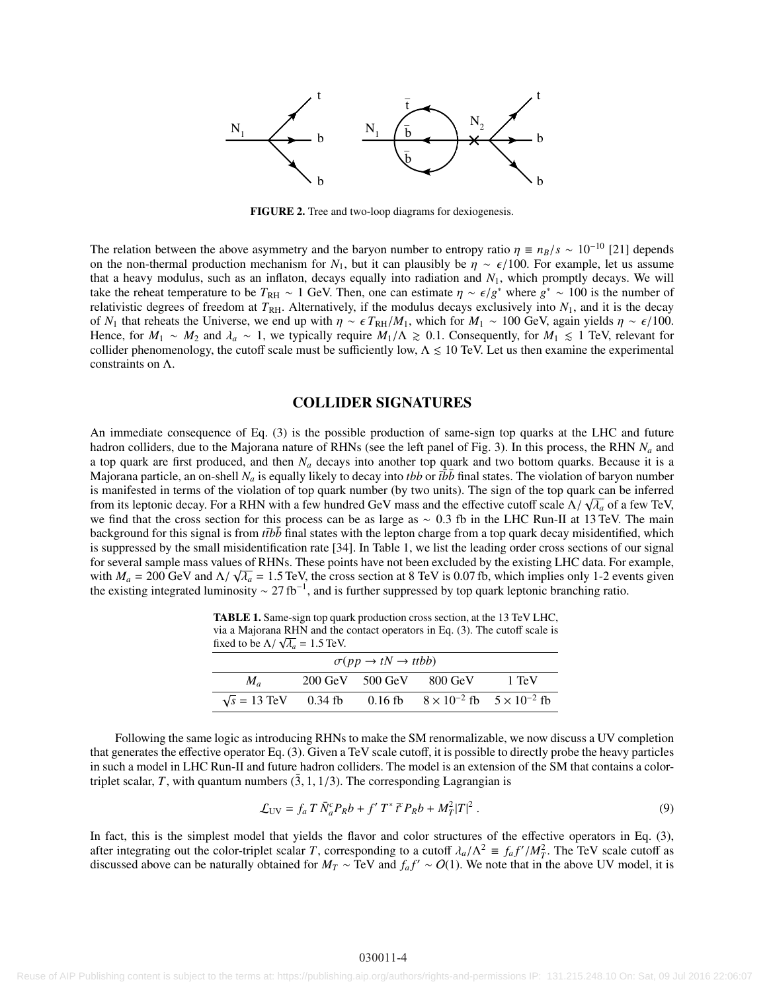

FIGURE 2. Tree and two-loop diagrams for dexiogenesis.

The relation between the above asymmetry and the baryon number to entropy ratio  $\eta = n_B/s \sim 10^{-10}$  [21] depends on the non-thermal production mechanism for  $N_1$ , but it can plausibly be  $\eta \sim \epsilon/100$ . For example, let us assume that a heavy modulus, such as an inflaton, decays equally into radiation and  $N_1$ , which promptly decays. We will take the reheat temperature to be  $T_{\rm RH} \sim 1$  GeV. Then, one can estimate  $\eta \sim \epsilon/g^*$  where  $g^* \sim 100$  is the number of relativistic degrees of freedom at  $T_{\rm BH}$ . Alternatively if the modulus decays exclusively into relativistic degrees of freedom at  $T_{\rm RH}$ . Alternatively, if the modulus decays exclusively into  $N_1$ , and it is the decay of *N*<sub>1</sub> that reheats the Universe, we end up with  $\eta \sim \epsilon T_{\text{RH}}/M_1$ , which for  $M_1 \sim 100$  GeV, again yields  $\eta \sim \epsilon/100$ . Hence, for  $M_1 \sim M_2$  and  $\lambda_a \sim 1$ , we typically require  $M_1/\Lambda \ge 0.1$ . Consequently, for  $M_1 \le 1$  TeV, relevant for collider phenomenology, the cutoff scale must be sufficiently low,  $\Lambda \leq 10$  TeV. Let us then examine the experimental constraints on Λ.

### COLLIDER SIGNATURES

An immediate consequence of Eq. (3) is the possible production of same-sign top quarks at the LHC and future hadron colliders, due to the Majorana nature of RHNs (see the left panel of Fig. 3). In this process, the RHN *N<sup>a</sup>* and a top quark are first produced, and then *N<sup>a</sup>* decays into another top quark and two bottom quarks. Because it is a Majorana particle, an on-shell  $N_a$  is equally likely to decay into *tbb* or  $\bar{t}b\bar{b}$  final states. The violation of baryon number is manifested in terms of the violation of top quark number (by two units). The sign of the top quark can be inferred from its leptonic decay. For a RHN with a few hundred GeV mass and the effective cutoff scale  $\Lambda/\sqrt{\lambda_a}$  of a few TeV,<br>we find that the cross section for this process can be as large as  $\sim 0.3$  fb in the LHC Run-H at 13 we find that the cross section for this process can be as large as <sup>∼</sup> <sup>0</sup>.3 fb in the LHC Run-II at 13 TeV. The main background for this signal is from  $t\bar{t}b\bar{b}$  final states with the lepton charge from a top quark decay misidentified, which is suppressed by the small misidentification rate [34]. In Table 1, we list the leading order cross sections of our signal for several sample mass values of RHNs. These points have not been excluded by the existing LHC data. For example, with  $M_a = 200$  GeV and  $\Lambda/\sqrt{\lambda_a} = 1.5$  TeV, the cross section at 8 TeV is 0.07 fb, which implies only 1-2 events given<br>the existing integrated luminosity  $\sim 27$  fb<sup>-1</sup> and is further suppressed by top quark leptonic bran the existing integrated luminosity  $\sim 27$  fb<sup>-1</sup>, and is further suppressed by top quark leptonic branching ratio.

TABLE 1. Same-sign top quark production cross section, at the 13 TeV LHC, via a Majorana RHN and the contact operators in Eq.  $(3)$ . The cutoff scale is fixed to be  $\Lambda / \sqrt{\lambda_a} = 1.5$  TeV.

| $\sigma(pp \to tN \to ttbb)$ |  |                                                       |                                             |       |  |  |
|------------------------------|--|-------------------------------------------------------|---------------------------------------------|-------|--|--|
| $M_{a}$                      |  | $200 \text{ GeV}$ $500 \text{ GeV}$ $800 \text{ GeV}$ |                                             | 1 TeV |  |  |
| $\sqrt{s}$ = 13 TeV 0.34 fb  |  | $0.16$ fb                                             | $8 \times 10^{-2}$ fb $5 \times 10^{-2}$ fb |       |  |  |

Following the same logic as introducing RHNs to make the SM renormalizable, we now discuss a UV completion that generates the effective operator Eq. (3). Given a TeV scale cutoff, it is possible to directly probe the heavy particles in such a model in LHC Run-II and future hadron colliders. The model is an extension of the SM that contains a colortriplet scalar, *T*, with quantum numbers  $(\bar{3}, 1, 1/3)$ . The corresponding Lagrangian is

$$
\mathcal{L}_{\text{UV}} = f_a T \bar{N}_a^c P_R b + f' T^* \bar{r} P_R b + M_T^2 |T|^2 \,. \tag{9}
$$

In fact, this is the simplest model that yields the flavor and color structures of the effective operators in Eq. (3), after integrating out the color-triplet scalar *T*, corresponding to a cutoff  $\lambda_a/\Lambda^2 \equiv f_a f'/M_T^2$ . The TeV scale cutoff as<br>discussed above can be naturally obtained for  $M_\pi \sim T$ eV and  $f f' \sim O(1)$ . We note that in the abov discussed above can be naturally obtained for  $M_T \sim TeV$  and  $f_a f' \sim O(1)$ . We note that in the above UV model, it is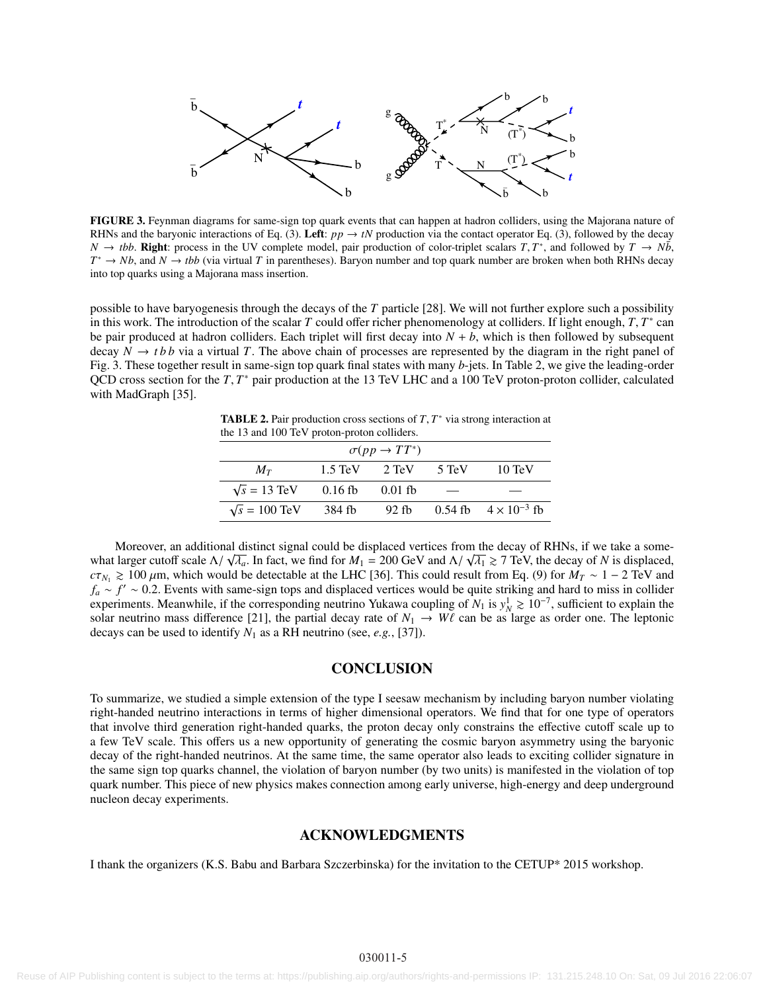

FIGURE 3. Feynman diagrams for same-sign top quark events that can happen at hadron colliders, using the Majorana nature of RHNs and the baryonic interactions of Eq. (3). Left:  $pp \rightarrow tN$  production via the contact operator Eq. (3), followed by the decay *N* → *tbb*. **Right:** process in the UV complete model, pair production of color-triplet scalars *T*,  $T^*$ , and followed by  $T \to N\bar{b}$ ,  $T^* \to Nh$  and  $N \to thb$  (via virtual *T* in parentheses). Baryon number and top quark  $T^* \to Nb$ , and  $N \to tbb$  (via virtual *T* in parentheses). Baryon number and top quark number are broken when both RHNs decay into top quarks using a Majorana mass insertion.

possible to have baryogenesis through the decays of the *T* particle [28]. We will not further explore such a possibility in this work. The introduction of the scalar *T* could offer richer phenomenology at colliders. If light enough, *T*, *T*<sup>\*</sup> can<br>be pair produced at hadron colliders. Each triplet will first decay into  $N + h$  which is then be pair produced at hadron colliders. Each triplet will first decay into  $N + b$ , which is then followed by subsequent decay  $N \rightarrow t b b$  via a virtual *T*. The above chain of processes are represented by the diagram in the right panel of Fig. 3. These together result in same-sign top quark final states with many *b*-jets. In Table 2, we give the leading-order QCD cross section for the *T*, *T*<sup>\*</sup> pair production at the 13 TeV LHC and a 100 TeV proton-proton collider, calculated with MadGraph [35] with MadGraph [35].

**TABLE 2.** Pair production cross sections of  $T$ ,  $T^*$  via strong interaction at the 13 and 100 TeV proton-proton colliders the 13 and 100 TeV proton-proton colliders.

| $\sigma(pp \to TT^*)$ |                                   |           |       |                               |  |  |  |
|-----------------------|-----------------------------------|-----------|-------|-------------------------------|--|--|--|
| $M_T$                 | $1.5 \text{ TeV}$ $2 \text{ TeV}$ |           | 5 TeV | $10 \text{ TeV}$              |  |  |  |
| $\sqrt{s}$ = 13 TeV   | $0.16$ fb                         | $0.01$ fb |       |                               |  |  |  |
| $\sqrt{s}$ = 100 TeV  | 384 fb                            | $92$ fb   |       | 0.54 fb $4 \times 10^{-3}$ fb |  |  |  |

Moreover, an additional distinct signal could be displaced vertices from the decay of RHNs, if we take a somewhat larger cutoff scale  $\Lambda/\sqrt{\lambda_a}$ . In fact, we find for  $M_1 = 200$  GeV and  $\Lambda/\sqrt{\lambda_1} \ge 7$  TeV, the decay of *N* is displaced,  $\lambda \sim 100$  (m, which would be detectable at the LHC [36]. This could result from Eq. (9) for *c*τ<sub>*N*1</sub>  $\gtrsim$  100  $\mu$ m, which would be detectable at the LHC [36]. This could result from Eq. (9) for  $M_T \sim 1 - 2$  TeV and  $f_a \sim f' \sim 0.2$ . Events with same-sign tops and displaced vertices would be quite striking and hard to miss in collider  $f_a$  is vertiments. Meanwhile, if the corresponding neutrino Yukawa coupling of  $N_a$  is  $y^1 > 10^{-7}$  s experiments. Meanwhile, if the corresponding neutrino Yukawa coupling of  $N_1$  is  $y_N^1 \ge 10^{-7}$ , sufficient to explain the solar neutrino mass difference [21], the partial decay rate of  $N_1 \rightarrow W\ell$  can be as large as order one. The leptonic decays can be used to identify  $N_1$  as a RH neutrino (see e.g. [37]) decays can be used to identify *N*<sup>1</sup> as a RH neutrino (see, *e.g.*, [37]).

### **CONCLUSION**

To summarize, we studied a simple extension of the type I seesaw mechanism by including baryon number violating right-handed neutrino interactions in terms of higher dimensional operators. We find that for one type of operators that involve third generation right-handed quarks, the proton decay only constrains the effective cutoff scale up to a few TeV scale. This offers us a new opportunity of generating the cosmic baryon asymmetry using the baryonic decay of the right-handed neutrinos. At the same time, the same operator also leads to exciting collider signature in the same sign top quarks channel, the violation of baryon number (by two units) is manifested in the violation of top quark number. This piece of new physics makes connection among early universe, high-energy and deep underground nucleon decay experiments.

### ACKNOWLEDGMENTS

I thank the organizers (K.S. Babu and Barbara Szczerbinska) for the invitation to the CETUP\* 2015 workshop.